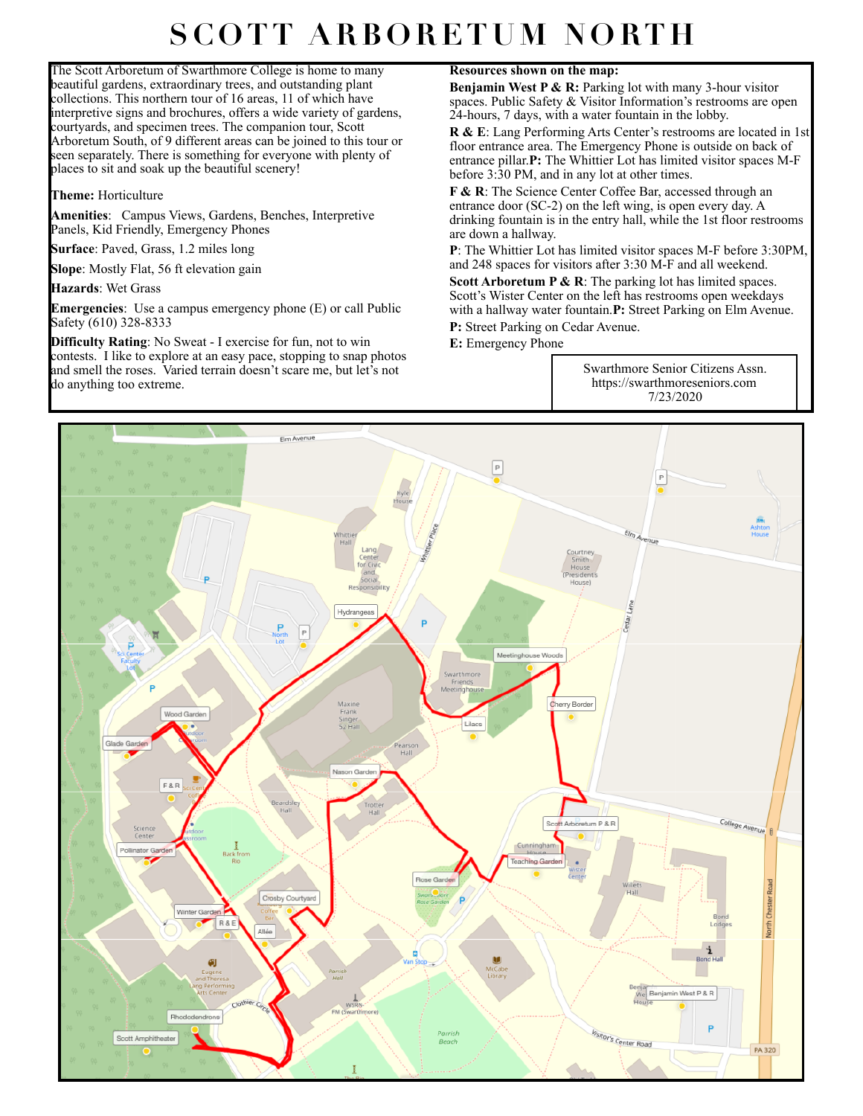## **SCOTT ARBORETUM NORTH**

The Scott Arboretum of Swarthmore College is home to many beautiful gardens, extraordinary trees, and outstanding plant collections. This northern tour of 16 areas, 11 of which have interpretive signs and brochures, offers a wide variety of gardens, courtyards, and specimen trees. The companion tour, Scott Arboretum South, of 9 different areas can be joined to this tour or seen separately. There is something for everyone with plenty of places to sit and soak up the beautiful scenery!

**Theme:** Horticulture

**Amenities**: Campus Views, Gardens, Benches, Interpretive Panels, Kid Friendly, Emergency Phones

**Surface**: Paved, Grass, 1.2 miles long

**Slope**: Mostly Flat, 56 ft elevation gain

**Hazards**: Wet Grass

**Emergencies**: Use a campus emergency phone (E) or call Public Safety (610) 328-8333

**Difficulty Rating**: No Sweat - I exercise for fun, not to win contests. I like to explore at an easy pace, stopping to snap photos and smell the roses. Varied terrain doesn't scare me, but let's not do anything too extreme.

## **Resources shown on the map:**

**Benjamin West P & R:** Parking lot with many 3-hour visitor spaces. Public Safety & Visitor Information's restrooms are open 24-hours, 7 days, with a water fountain in the lobby.

**R & E**: Lang Performing Arts Center's restrooms are located in 1st floor entrance area. The Emergency Phone is outside on back of entrance pillar.**P:** The Whittier Lot has limited visitor spaces M-F before 3:30 PM, and in any lot at other times.

**F & R**: The Science Center Coffee Bar, accessed through an entrance door (SC-2) on the left wing, is open every day. A drinking fountain is in the entry hall, while the 1st floor restrooms are down a hallway.

**P**: The Whittier Lot has limited visitor spaces M-F before 3:30PM, and 248 spaces for visitors after 3:30 M-F and all weekend.

**Scott Arboretum P & R:** The parking lot has limited spaces. Scott's Wister Center on the left has restrooms open weekdays with a hallway water fountain.**P:** Street Parking on Elm Avenue.

**P:** Street Parking on Cedar Avenue.

**E:** Emergency Phone

Swarthmore Senior Citizens Assn. https://swarthmoreseniors.com 7/23/2020